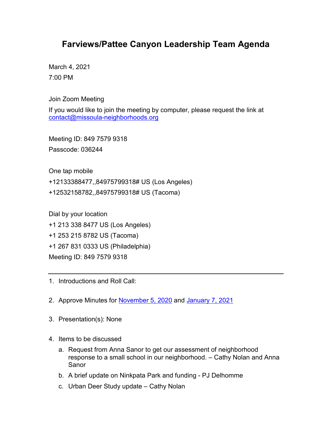## **Farviews/Pattee Canyon Leadership Team Agenda**

March 4, 2021 7:00 PM

Join Zoom Meeting

If you would like to join the meeting by computer, please request the link at [contact@missoula-neighborhoods.org](mailto:contact@missoula-neighborhoods.org)

Meeting ID: 849 7579 9318 Passcode: 036244

One tap mobile

+12133388477,,84975799318# US (Los Angeles)

+12532158782,,84975799318# US (Tacoma)

Dial by your location

+1 213 338 8477 US (Los Angeles)

+1 253 215 8782 US (Tacoma)

+1 267 831 0333 US (Philadelphia)

Meeting ID: 849 7579 9318

- 1. Introductions and Roll Call:
- 2. Approve Minutes for [November 5, 2020](https://www.ci.missoula.mt.us/Archive.aspx?ADID=15738) and [January 7, 2021](https://www.ci.missoula.mt.us/Archive.aspx?ADID=15739)
- 3. Presentation(s): None
- 4. Items to be discussed
	- a. Request from Anna Sanor to get our assessment of neighborhood response to a small school in our neighborhood. – Cathy Nolan and Anna Sanor
	- b. A brief update on Ninkpata Park and funding PJ Delhomme
	- c. Urban Deer Study update Cathy Nolan